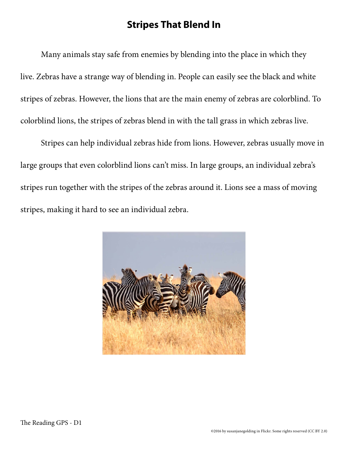## **Stripes That Blend In**

Many animals stay safe from enemies by blending into the place in which they live. Zebras have a strange way of blending in. People can easily see the black and white stripes of zebras. However, the lions that are the main enemy of zebras are colorblind. To colorblind lions, the stripes of zebras blend in with the tall grass in which zebras live.

Stripes can help individual zebras hide from lions. However, zebras usually move in large groups that even colorblind lions can't miss. In large groups, an individual zebra's stripes run together with the stripes of the zebras around it. Lions see a mass of moving stripes, making it hard to see an individual zebra.